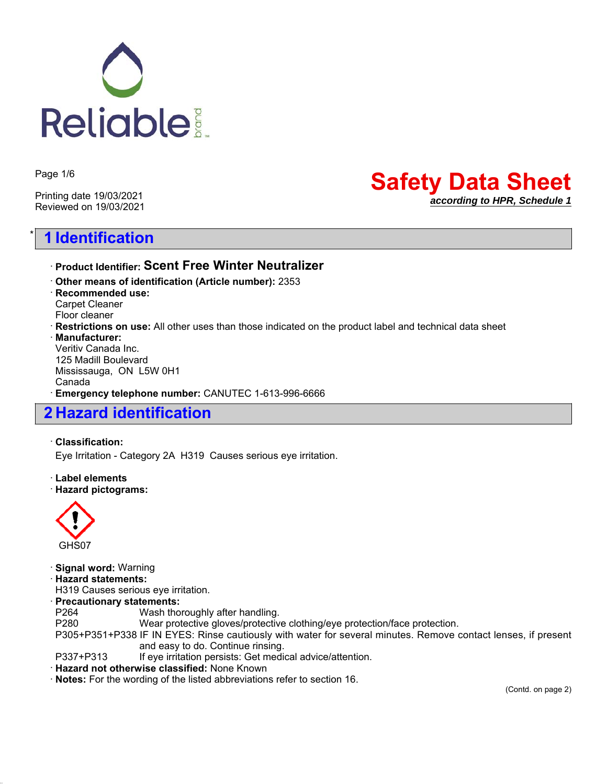

Page 1/6

Printing date 19/03/2021 Reviewed on 19/03/2021

# \* **1 Identification**

# **Safety Data Sheet** *according to HPR, Schedule 1*

### ꞏ **Product Identifier: Scent Free Winter Neutralizer**

ꞏ **Other means of identification (Article number):** 2353 ꞏ **Recommended use:** Carpet Cleaner Floor cleaner ꞏ **Restrictions on use:** All other uses than those indicated on the product label and technical data sheet ꞏ **Manufacturer:** Veritiv Canada Inc. 125 Madill Boulevard Mississauga, ON L5W 0H1 Canada ꞏ **Emergency telephone number:** CANUTEC 1-613-996-6666

## **2 Hazard identification**

#### ꞏ **Classification:**

Eye Irritation - Category 2A H319 Causes serious eye irritation.

#### ꞏ **Label elements** ꞏ **Hazard pictograms:**



ꞏ **Signal word:** Warning ꞏ **Hazard statements:** H319 Causes serious eye irritation. ꞏ **Precautionary statements:** P264 Wash thoroughly after handling. P280 Wear protective gloves/protective clothing/eye protection/face protection. P305+P351+P338 IF IN EYES: Rinse cautiously with water for several minutes. Remove contact lenses, if present and easy to do. Continue rinsing. P337+P313 If eye irritation persists: Get medical advice/attention.

#### ꞏ **Hazard not otherwise classified:** None Known

ꞏ **Notes:** For the wording of the listed abbreviations refer to section 16.

(Contd. on page 2)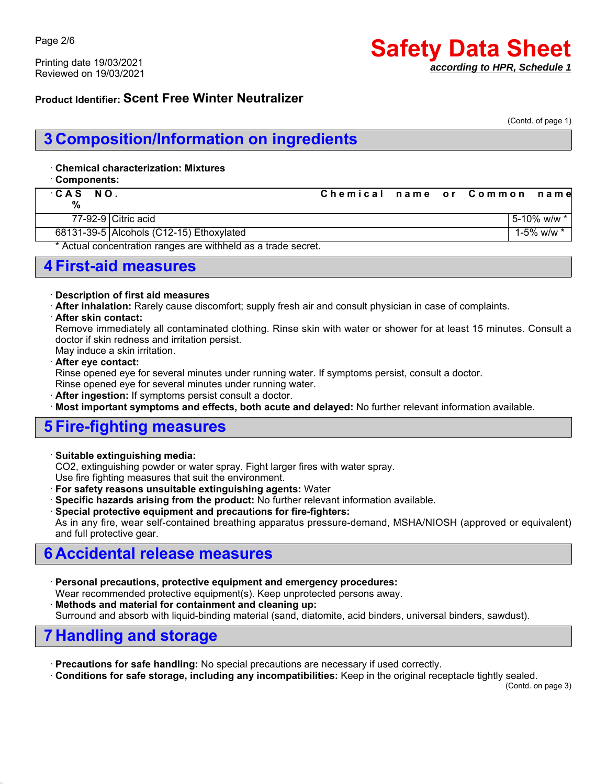Printing date 19/03/2021 Reviewed on 19/03/2021

# **Safety Data Sheet** *according to HPR, Schedule 1*

### **Product Identifier: Scent Free Winter Neutralizer**

(Contd. of page 1)

# **3 Composition/Information on ingredients**

#### ꞏ **Chemical characterization: Mixtures**

ꞏ **Components:**

| CAS NO.<br>% |                                                               | Chemical name or Common name |  |                     |
|--------------|---------------------------------------------------------------|------------------------------|--|---------------------|
|              | 77-92-9 Citric acid                                           |                              |  | $15 - 10\%$ w/w $*$ |
|              | 68131-39-5 Alcohols (C12-15) Ethoxylated                      |                              |  | 1-5% w/w $*$        |
|              | * Actual concentration ranges are withheld as a trade secret. |                              |  |                     |

### **4 First-aid measures**

#### ꞏ **Description of first aid measures**

ꞏ **After inhalation:** Rarely cause discomfort; supply fresh air and consult physician in case of complaints.

#### ꞏ **After skin contact:**

Remove immediately all contaminated clothing. Rinse skin with water or shower for at least 15 minutes. Consult a doctor if skin redness and irritation persist.

May induce a skin irritation.

#### ꞏ **After eye contact:**

Rinse opened eye for several minutes under running water. If symptoms persist, consult a doctor.

Rinse opened eye for several minutes under running water.

After ingestion: If symptoms persist consult a doctor.

ꞏ **Most important symptoms and effects, both acute and delayed:** No further relevant information available.

### **5 Fire-fighting measures**

#### ꞏ **Suitable extinguishing media:**

CO2, extinguishing powder or water spray. Fight larger fires with water spray.

Use fire fighting measures that suit the environment.

ꞏ **For safety reasons unsuitable extinguishing agents:** Water

- Specific hazards arising from the product: No further relevant information available.
- ꞏ **Special protective equipment and precautions for fire-fighters:**

As in any fire, wear self-contained breathing apparatus pressure-demand, MSHA/NIOSH (approved or equivalent) and full protective gear.

## **6 Accidental release measures**

ꞏ **Personal precautions, protective equipment and emergency procedures:** Wear recommended protective equipment(s). Keep unprotected persons away. ꞏ **Methods and material for containment and cleaning up:** Surround and absorb with liquid-binding material (sand, diatomite, acid binders, universal binders, sawdust).

## **7 Handling and storage**

ꞏ **Precautions for safe handling:** No special precautions are necessary if used correctly.

ꞏ **Conditions for safe storage, including any incompatibilities:** Keep in the original receptacle tightly sealed.

(Contd. on page 3)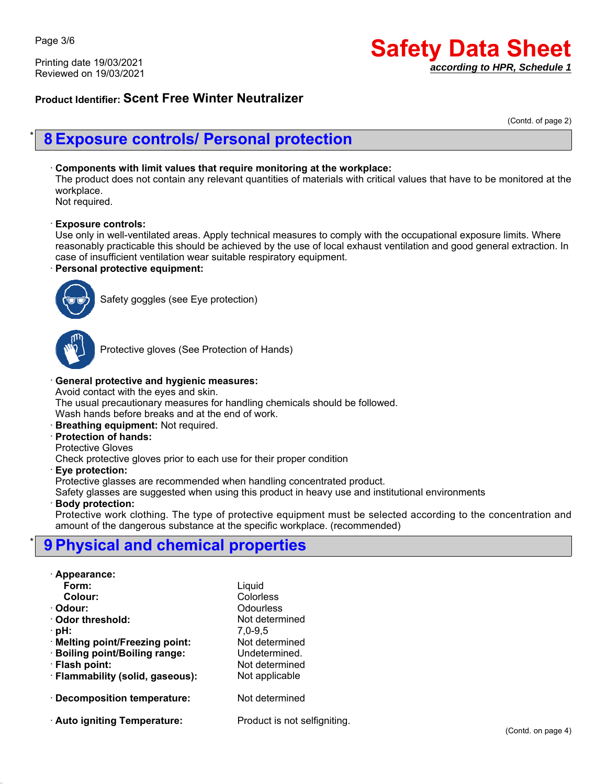Printing date 19/03/2021 Reviewed on 19/03/2021

# **Safety Data Sheet** *according to HPR, Schedule 1*

### **Product Identifier: Scent Free Winter Neutralizer**

(Contd. of page 2)

## \* **8 Exposure controls/ Personal protection**

#### ꞏ **Components with limit values that require monitoring at the workplace:**

The product does not contain any relevant quantities of materials with critical values that have to be monitored at the workplace.

Not required.

#### ꞏ **Exposure controls:**

Use only in well-ventilated areas. Apply technical measures to comply with the occupational exposure limits. Where reasonably practicable this should be achieved by the use of local exhaust ventilation and good general extraction. In case of insufficient ventilation wear suitable respiratory equipment.

#### ꞏ **Personal protective equipment:**



Safety goggles (see Eye protection)



Protective gloves (See Protection of Hands)

#### ꞏ **General protective and hygienic measures:**

Avoid contact with the eyes and skin.

The usual precautionary measures for handling chemicals should be followed.

Wash hands before breaks and at the end of work.

- ꞏ **Breathing equipment:** Not required.
- ꞏ **Protection of hands:**
- Protective Gloves

Check protective gloves prior to each use for their proper condition

#### ꞏ **Eye protection:**

Protective glasses are recommended when handling concentrated product.

Safety glasses are suggested when using this product in heavy use and institutional environments

#### ꞏ **Body protection:**

Protective work clothing. The type of protective equipment must be selected according to the concentration and amount of the dangerous substance at the specific workplace. (recommended)

# \* **9 Physical and chemical properties**

|  |  |  |  | · Appearance: |  |
|--|--|--|--|---------------|--|
|--|--|--|--|---------------|--|

| Form:                            | Liquid                       |
|----------------------------------|------------------------------|
| Colour:                          | Colorless                    |
| · Odour:                         | Odourless                    |
| $\cdot$ Odor threshold:          | Not determined               |
| · pH:                            | $7,0-9,5$                    |
| · Melting point/Freezing point:  | Not determined               |
| · Boiling point/Boiling range:   | Undetermined.                |
| · Flash point:                   | Not determined               |
| · Flammability (solid, gaseous): | Not applicable               |
| Decomposition temperature:       | Not determined               |
| Auto igniting Temperature:       | Product is not selfigniting. |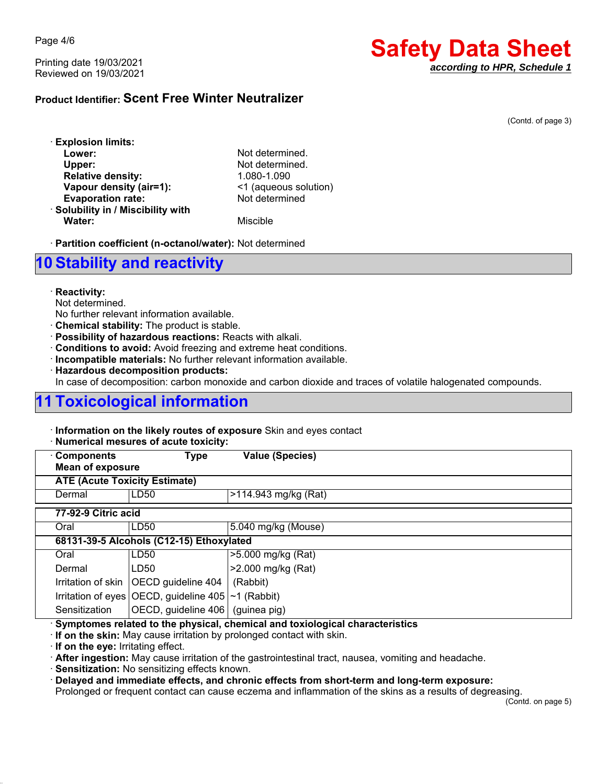Page 4/6

Printing date 19/03/2021 Reviewed on 19/03/2021

# **Safety Data Sheet** *according to HPR, Schedule 1*

### **Product Identifier: Scent Free Winter Neutralizer**

(Contd. of page 3)

| <b>Explosion limits:</b>           |  |
|------------------------------------|--|
| Lower:                             |  |
| Upper:                             |  |
| <b>Relative density:</b>           |  |
| Vapour density (air=1):            |  |
| <b>Evaporation rate:</b>           |  |
| · Solubility in / Miscibility with |  |
| <b>Water:</b>                      |  |

Not determined. Not determined. **Relative density:** 1.080-1.090 **Vapour density (air=1):** <1 (aqueous solution) **Evaporation rate:** Not determined

**Miscible** 

ꞏ **Partition coefficient (n-octanol/water):** Not determined

## **10 Stability and reactivity**

#### ꞏ **Reactivity:**

Not determined.

No further relevant information available.

- ꞏ **Chemical stability:** The product is stable.
- ꞏ **Possibility of hazardous reactions:** Reacts with alkali.
- ꞏ **Conditions to avoid:** Avoid freezing and extreme heat conditions.

ꞏ **Incompatible materials:** No further relevant information available.

ꞏ **Hazardous decomposition products:**

In case of decomposition: carbon monoxide and carbon dioxide and traces of volatile halogenated compounds.

# **11 Toxicological information**

ꞏ **Information on the likely routes of exposure** Skin and eyes contact

|  | · Numerical mesures of acute toxicity: |  |  |  |  |
|--|----------------------------------------|--|--|--|--|
|--|----------------------------------------|--|--|--|--|

| <b>Components</b><br><b>Mean of exposure</b> | <b>Type</b>                                                | <b>Value (Species)</b> |  |  |  |
|----------------------------------------------|------------------------------------------------------------|------------------------|--|--|--|
|                                              | <b>ATE (Acute Toxicity Estimate)</b>                       |                        |  |  |  |
| Dermal                                       | LD50                                                       | >114.943 mg/kg (Rat)   |  |  |  |
|                                              | 77-92-9 Citric acid                                        |                        |  |  |  |
| Oral                                         | LD50                                                       | 5.040 mg/kg (Mouse)    |  |  |  |
|                                              | 68131-39-5 Alcohols (C12-15) Ethoxylated                   |                        |  |  |  |
| Oral                                         | LD <sub>50</sub>                                           | >5.000 mg/kg (Rat)     |  |  |  |
| Dermal                                       | LD50                                                       | >2.000 mg/kg (Rat)     |  |  |  |
|                                              | Irritation of skin   OECD guideline 404                    | (Rabbit)               |  |  |  |
|                                              | Irritation of eyes OECD, guideline $405$ $\sim$ 1 (Rabbit) |                        |  |  |  |
| Sensitization                                | OECD, guideline 406 (guinea pig)                           |                        |  |  |  |

ꞏ **Symptomes related to the physical, chemical and toxiological characteristics**

ꞏ **If on the skin:** May cause irritation by prolonged contact with skin.

ꞏ **If on the eye:** Irritating effect.

ꞏ **After ingestion:** May cause irritation of the gastrointestinal tract, nausea, vomiting and headache.

ꞏ **Sensitization:** No sensitizing effects known.

ꞏ **Delayed and immediate effects, and chronic effects from short-term and long-term exposure:**

Prolonged or frequent contact can cause eczema and inflammation of the skins as a results of degreasing.

(Contd. on page 5)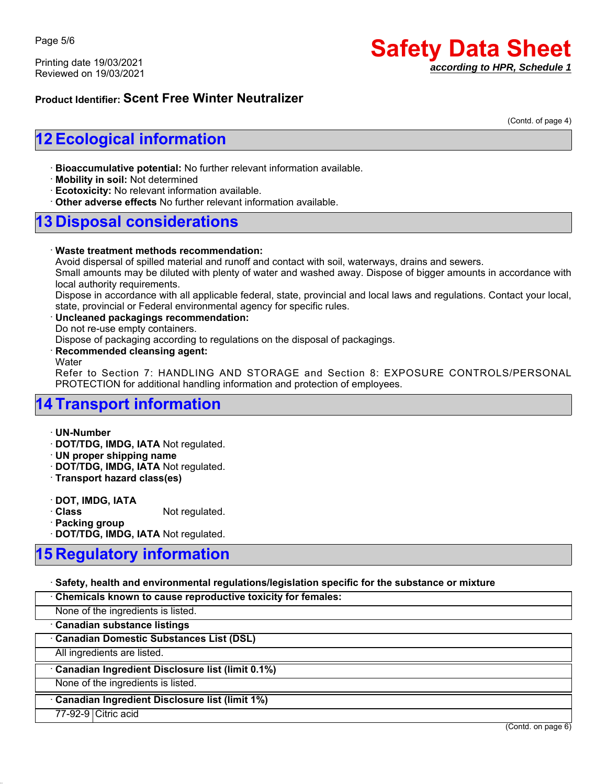Page 5/6

Printing date 19/03/2021 Reviewed on 19/03/2021

# **Safety Data Sheet** *according to HPR, Schedule 1*

### **Product Identifier: Scent Free Winter Neutralizer**

(Contd. of page 4)

# **12 Ecological information**

ꞏ **Bioaccumulative potential:** No further relevant information available.

ꞏ **Mobility in soil:** Not determined

ꞏ **Ecotoxicity:** No relevant information available.

ꞏ **Other adverse effects** No further relevant information available.

### **13 Disposal considerations**

#### ꞏ **Waste treatment methods recommendation:**

Avoid dispersal of spilled material and runoff and contact with soil, waterways, drains and sewers.

Small amounts may be diluted with plenty of water and washed away. Dispose of bigger amounts in accordance with local authority requirements.

Dispose in accordance with all applicable federal, state, provincial and local laws and regulations. Contact your local, state, provincial or Federal environmental agency for specific rules.

#### ꞏ **Uncleaned packagings recommendation:**

Do not re-use empty containers.

Dispose of packaging according to regulations on the disposal of packagings.

#### ꞏ **Recommended cleansing agent:**

**Water** 

Refer to Section 7: HANDLING AND STORAGE and Section 8: EXPOSURE CONTROLS/PERSONAL PROTECTION for additional handling information and protection of employees.

# **14 Transport information**

ꞏ **UN-Number**

ꞏ **DOT/TDG, IMDG, IATA** Not regulated.

ꞏ **UN proper shipping name**

ꞏ **DOT/TDG, IMDG, IATA** Not regulated.

ꞏ **Transport hazard class(es)**

ꞏ **DOT, IMDG, IATA**

**Class** Not regulated.

ꞏ **Packing group**

ꞏ **DOT/TDG, IMDG, IATA** Not regulated.

# **15 Regulatory information**

ꞏ **Safety, health and environmental regulations/legislation specific for the substance or mixture**

| Chemicals known to cause reproductive toxicity for females: |  |
|-------------------------------------------------------------|--|
| None of the ingredients is listed.                          |  |
| Canadian substance listings                                 |  |
| Canadian Domestic Substances List (DSL)                     |  |
| All ingredients are listed.                                 |  |
| Canadian Ingredient Disclosure list (limit 0.1%)            |  |
| None of the ingredients is listed.                          |  |
| Canadian Ingredient Disclosure list (limit 1%)              |  |
| 77-92-9 Citric acid                                         |  |

(Contd. on page 6)